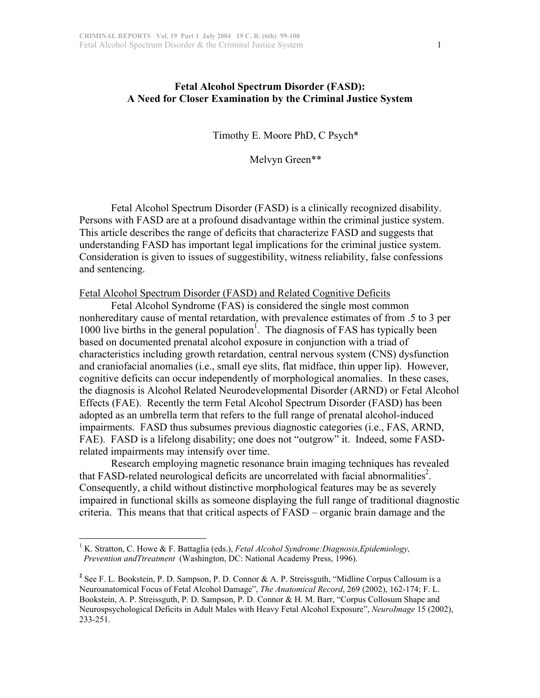## **Fetal Alcohol Spectrum Disorder (FASD): A Need for Closer Examination by the Criminal Justice System**

Timothy E. Moore PhD, C Psych\*

Melvyn Green\*\*

Fetal Alcohol Spectrum Disorder (FASD) is a clinically recognized disability. Persons with FASD are at a profound disadvantage within the criminal justice system. This article describes the range of deficits that characterize FASD and suggests that understanding FASD has important legal implications for the criminal justice system. Consideration is given to issues of suggestibility, witness reliability, false confessions and sentencing.

Fetal Alcohol Spectrum Disorder (FASD) and Related Cognitive Deficits

Fetal Alcohol Syndrome (FAS) is considered the single most common nonhereditary cause of mental retardation, with prevalence estimates of from .5 to 3 per 1000 live births in the general population<sup>1</sup>. The diagnosis of FAS has typically been based on documented prenatal alcohol exposure in conjunction with a triad of characteristics including growth retardation, central nervous system (CNS) dysfunction and craniofacial anomalies (i.e., small eye slits, flat midface, thin upper lip). However, cognitive deficits can occur independently of morphological anomalies. In these cases, the diagnosis is Alcohol Related Neurodevelopmental Disorder (ARND) or Fetal Alcohol Effects (FAE). Recently the term Fetal Alcohol Spectrum Disorder (FASD) has been adopted as an umbrella term that refers to the full range of prenatal alcohol-induced impairments. FASD thus subsumes previous diagnostic categories (i.e., FAS, ARND, FAE). FASD is a lifelong disability; one does not "outgrow" it. Indeed, some FASDrelated impairments may intensify over time.

Research employing magnetic resonance brain imaging techniques has revealed that FASD-related neurological deficits are uncorrelated with facial abnormalities<sup>2</sup>. Consequently, a child without distinctive morphological features may be as severely impaired in functional skills as someone displaying the full range of traditional diagnostic criteria. This means that that critical aspects of FASD – organic brain damage and the

 $\frac{1}{1}$ <sup>1</sup> K. Stratton, C. Howe & F. Battaglia (eds.), *Fetal Alcohol Syndrome: Diagnosis, Epidemiology*,  *Prevention andTtreatment* (Washington, DC: National Academy Press, 1996).

**<sup>2</sup>** See F. L. Bookstein, P. D. Sampson, P. D. Connor & A. P. Streissguth, "Midline Corpus Callosum is a Neuroanatomical Focus of Fetal Alcohol Damage", *The Anatomical Record*, 269 (2002), 162-174; F. L. Bookstein, A. P. Streissguth, P. D. Sampson, P. D. Connor & H. M. Barr, "Corpus Collosum Shape and Neurospsychological Deficits in Adult Males with Heavy Fetal Alcohol Exposure", *NeuroImage* 15 (2002), 233-251.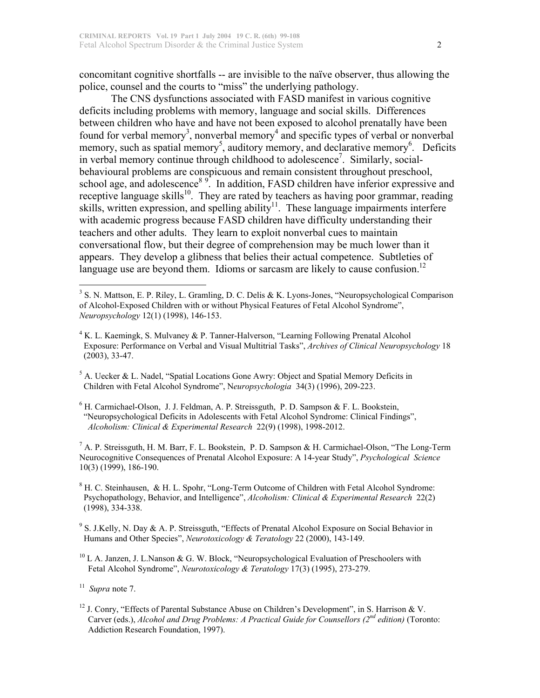concomitant cognitive shortfalls -- are invisible to the naïve observer, thus allowing the police, counsel and the courts to "miss" the underlying pathology.

The CNS dysfunctions associated with FASD manifest in various cognitive deficits including problems with memory, language and social skills. Differences between children who have and have not been exposed to alcohol prenatally have been found for verbal memory<sup>3</sup>, nonverbal memory<sup>4</sup> and specific types of verbal or nonverbal memory, such as spatial memory<sup>5</sup>, auditory memory, and declarative memory<sup>6</sup>. Deficits in verbal memory continue through childhood to adolescence<sup>7</sup>. Similarly, socialbehavioural problems are conspicuous and remain consistent throughout preschool, school age, and adolescence<sup>8 9</sup>. In addition, FASD children have inferior expressive and receptive language skills<sup>10</sup>. They are rated by teachers as having poor grammar, reading skills, written expression, and spelling ability<sup>11</sup>. These language impairments interfere with academic progress because FASD children have difficulty understanding their teachers and other adults. They learn to exploit nonverbal cues to maintain conversational flow, but their degree of comprehension may be much lower than it appears. They develop a glibness that belies their actual competence. Subtleties of language use are beyond them. Idioms or sarcasm are likely to cause confusion.<sup>12</sup>

<sup>6</sup> H. Carmichael-Olson, J. J. Feldman, A. P. Streissguth, P. D. Sampson & F. L. Bookstein, "Neuropsychological Deficits in Adolescents with Fetal Alcohol Syndrome: Clinical Findings", *Alcoholism: Clinical & Experimental Research* 22(9) (1998), 1998-2012.

<sup>7</sup> A. P. Streissguth, H. M. Barr, F. L. Bookstein, P. D. Sampson & H. Carmichael-Olson, "The Long-Term Neurocognitive Consequences of Prenatal Alcohol Exposure: A 14-year Study", *Psychological Science* 10(3) (1999), 186-190.

<sup>8</sup> H. C. Steinhausen, & H. L. Spohr, "Long-Term Outcome of Children with Fetal Alcohol Syndrome: Psychopathology, Behavior, and Intelligence", *Alcoholism: Clinical & Experimental Research* 22(2) (1998), 334-338.

<sup>9</sup> S. J.Kelly, N. Day & A. P. Streissguth, "Effects of Prenatal Alcohol Exposure on Social Behavior in Humans and Other Species", *Neurotoxicology & Teratology* 22 (2000), 143-149.

 $^{10}$  L A. Janzen, J. L.Nanson & G. W. Block, "Neuropsychological Evaluation of Preschoolers with Fetal Alcohol Syndrome", *Neurotoxicology & Teratology* 17(3) (1995), 273-279.

 $11$  *Supra* note 7.

<sup>12</sup> J. Conry, "Effects of Parental Substance Abuse on Children's Development", in S. Harrison & V. Carver (eds.), *Alcohol and Drug Problems: A Practical Guide for Counsellors (2nd edition)* (Toronto: Addiction Research Foundation, 1997).

<sup>&</sup>lt;sup>2</sup><br>3  $3$  S. N. Mattson, E. P. Riley, L. Gramling, D. C. Delis & K. Lyons-Jones, "Neuropsychological Comparison of Alcohol-Exposed Children with or without Physical Features of Fetal Alcohol Syndrome", *Neuropsychology* 12(1) (1998), 146-153.

<sup>&</sup>lt;sup>4</sup> K. L. Kaemingk, S. Mulvaney & P. Tanner-Halverson, "Learning Following Prenatal Alcohol Exposure: Performance on Verbal and Visual Multitrial Tasks", *Archives of Clinical Neuropsychology* 18 (2003), 33-47.

 $<sup>5</sup>$  A. Uecker & L. Nadel, "Spatial Locations Gone Awry: Object and Spatial Memory Deficits in</sup> Children with Fetal Alcohol Syndrome", N*europsychologia* 34(3) (1996), 209-223.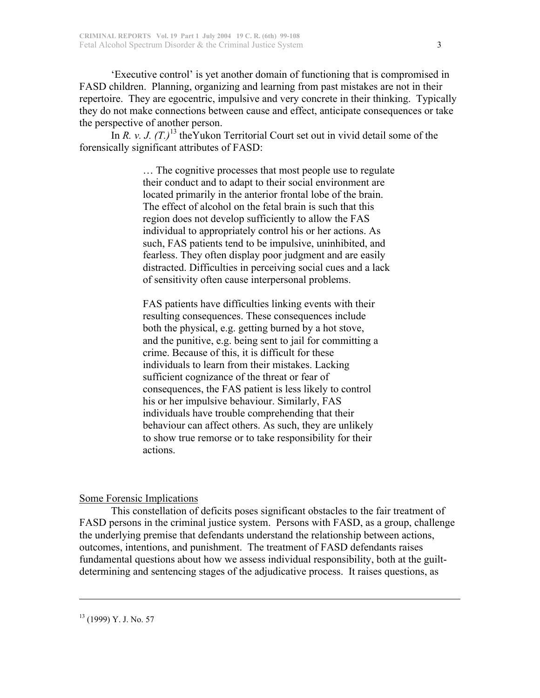'Executive control' is yet another domain of functioning that is compromised in FASD children. Planning, organizing and learning from past mistakes are not in their repertoire. They are egocentric, impulsive and very concrete in their thinking. Typically they do not make connections between cause and effect, anticipate consequences or take the perspective of another person.

In *R. v. J.*  $(T.)$ <sup>13</sup> the Yukon Territorial Court set out in vivid detail some of the forensically significant attributes of FASD:

> … The cognitive processes that most people use to regulate their conduct and to adapt to their social environment are located primarily in the anterior frontal lobe of the brain. The effect of alcohol on the fetal brain is such that this region does not develop sufficiently to allow the FAS individual to appropriately control his or her actions. As such, FAS patients tend to be impulsive, uninhibited, and fearless. They often display poor judgment and are easily distracted. Difficulties in perceiving social cues and a lack of sensitivity often cause interpersonal problems.

FAS patients have difficulties linking events with their resulting consequences. These consequences include both the physical, e.g. getting burned by a hot stove, and the punitive, e.g. being sent to jail for committing a crime. Because of this, it is difficult for these individuals to learn from their mistakes. Lacking sufficient cognizance of the threat or fear of consequences, the FAS patient is less likely to control his or her impulsive behaviour. Similarly, FAS individuals have trouble comprehending that their behaviour can affect others. As such, they are unlikely to show true remorse or to take responsibility for their actions.

## Some Forensic Implications

This constellation of deficits poses significant obstacles to the fair treatment of FASD persons in the criminal justice system. Persons with FASD, as a group, challenge the underlying premise that defendants understand the relationship between actions, outcomes, intentions, and punishment. The treatment of FASD defendants raises fundamental questions about how we assess individual responsibility, both at the guiltdetermining and sentencing stages of the adjudicative process. It raises questions, as

 $\overline{a}$ 

<sup>13</sup> (1999) Y. J. No. 57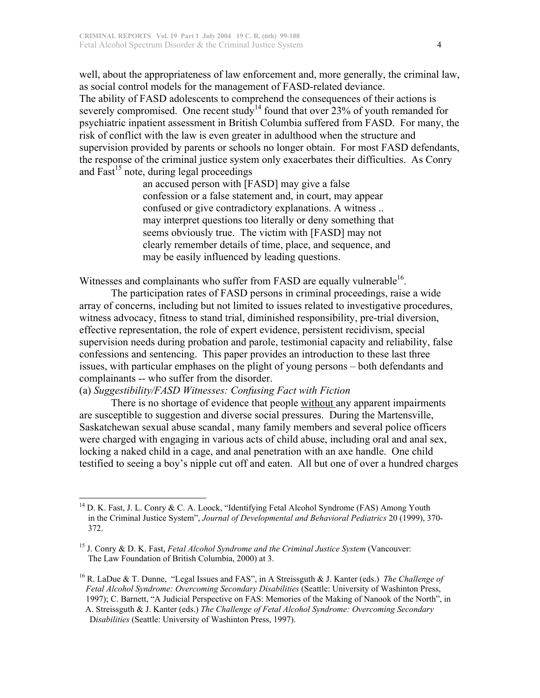well, about the appropriateness of law enforcement and, more generally, the criminal law, as social control models for the management of FASD-related deviance. The ability of FASD adolescents to comprehend the consequences of their actions is severely compromised. One recent study<sup>14</sup> found that over 23% of youth remanded for psychiatric inpatient assessment in British Columbia suffered from FASD. For many, the risk of conflict with the law is even greater in adulthood when the structure and supervision provided by parents or schools no longer obtain. For most FASD defendants, the response of the criminal justice system only exacerbates their difficulties. As Conry and Fast<sup>15</sup> note, during legal proceedings

an accused person with [FASD] may give a false confession or a false statement and, in court, may appear confused or give contradictory explanations. A witness .. may interpret questions too literally or deny something that seems obviously true. The victim with [FASD] may not clearly remember details of time, place, and sequence, and may be easily influenced by leading questions.

Witnesses and complainants who suffer from FASD are equally vulnerable $^{16}$ .

The participation rates of FASD persons in criminal proceedings, raise a wide array of concerns, including but not limited to issues related to investigative procedures, witness advocacy, fitness to stand trial, diminished responsibility, pre-trial diversion, effective representation, the role of expert evidence, persistent recidivism, special supervision needs during probation and parole, testimonial capacity and reliability, false confessions and sentencing. This paper provides an introduction to these last three issues, with particular emphases on the plight of young persons – both defendants and complainants -- who suffer from the disorder.

## (a) *Suggestibility/FASD Witnesses: Confusing Fact with Fiction*

There is no shortage of evidence that people without any apparent impairments are susceptible to suggestion and diverse social pressures. During the Martensville, Saskatchewan sexual abuse scandal , many family members and several police officers were charged with engaging in various acts of child abuse, including oral and anal sex, locking a naked child in a cage, and anal penetration with an axe handle. One child testified to seeing a boy's nipple cut off and eaten. All but one of over a hundred charges

<sup>&</sup>lt;sup>14</sup> D. K. Fast, J. L. Conry & C. A. Loock, "Identifying Fetal Alcohol Syndrome (FAS) Among Youth in the Criminal Justice System", *Journal of Developmental and Behavioral Pediatrics* 20 (1999), 370- 372.

<sup>&</sup>lt;sup>15</sup> J. Conry & D. K. Fast, *Fetal Alcohol Syndrome and the Criminal Justice System* (Vancouver: The Law Foundation of British Columbia, 2000) at 3.

<sup>16</sup> R. LaDue & T. Dunne, "Legal Issues and FAS", in A Streissguth & J. Kanter (eds.) *The Challenge of Fetal Alcohol Syndrome: Overcoming Secondary Disabilities* (Seattle: University of Washinton Press, 1997); C. Barnett, "A Judicial Perspective on FAS: Memories of the Making of Nanook of the North", in A. Streissguth & J. Kanter (eds.) *The Challenge of Fetal Alcohol Syndrome: Overcoming Secondary* D*isabilities* (Seattle: University of Washinton Press, 1997).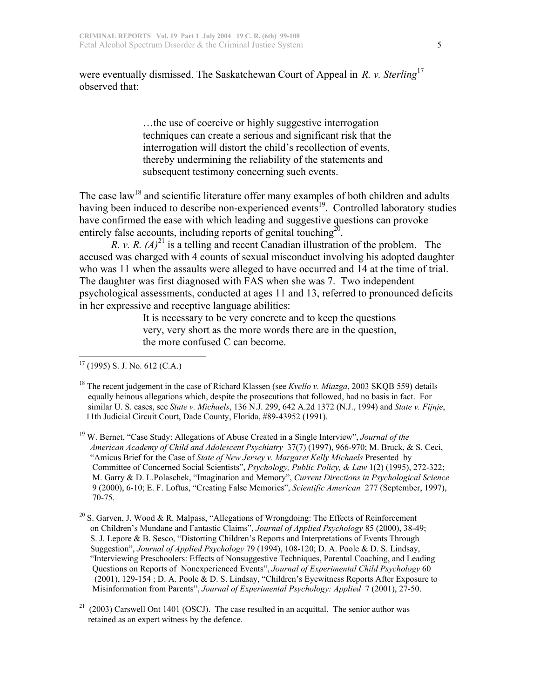were eventually dismissed. The Saskatchewan Court of Appeal in *R. v. Sterling*<sup>17</sup> observed that:

> …the use of coercive or highly suggestive interrogation techniques can create a serious and significant risk that the interrogation will distort the child's recollection of events, thereby undermining the reliability of the statements and subsequent testimony concerning such events.

The case law<sup>18</sup> and scientific literature offer many examples of both children and adults having been induced to describe non-experienced events<sup>19</sup>. Controlled laboratory studies have confirmed the ease with which leading and suggestive questions can provoke entirely false accounts, including reports of genital touching $^{20}$ .

*R. v. R.*  $(A)^{21}$  is a telling and recent Canadian illustration of the problem. The accused was charged with 4 counts of sexual misconduct involving his adopted daughter who was 11 when the assaults were alleged to have occurred and 14 at the time of trial. The daughter was first diagnosed with FAS when she was 7. Two independent psychological assessments, conducted at ages 11 and 13, referred to pronounced deficits in her expressive and receptive language abilities:

> It is necessary to be very concrete and to keep the questions very, very short as the more words there are in the question, the more confused C can become.

 $17$  (1995) S. J. No. 612 (C.A.)

<sup>&</sup>lt;sup>18</sup> The recent judgement in the case of Richard Klassen (see *Kvello v. Miazga*, 2003 SKQB 559) details equally heinous allegations which, despite the prosecutions that followed, had no basis in fact. For similar U. S. cases, see *State v. Michaels*, 136 N.J. 299, 642 A.2d 1372 (N.J., 1994) and *State v. Fijnje*, 11th Judicial Circuit Court, Dade County, Florida, #89-43952 (1991).

<sup>&</sup>lt;sup>19</sup> W. Bernet, "Case Study: Allegations of Abuse Created in a Single Interview", *Journal of the American Academy of Child and Adolescent Psychiatry* 37(7) (1997), 966-970; M. Bruck, & S. Ceci, "Amicus Brief for the Case of *State of New Jersey v. Margaret Kelly Michaels* Presented by Committee of Concerned Social Scientists", *Psychology, Public Policy, & Law* 1(2) (1995), 272-322; M. Garry & D. L.Polaschek, "Imagination and Memory", *Current Directions in Psychological Science* 9 (2000), 6-10; E. F. Loftus, "Creating False Memories", *Scientific American* 277 (September, 1997), 70-75.

<sup>&</sup>lt;sup>20</sup> S. Garven, J. Wood & R. Malpass, "Allegations of Wrongdoing: The Effects of Reinforcement on Children's Mundane and Fantastic Claims", *Journal of Applied Psychology* 85 (2000), 38-49; S. J. Lepore & B. Sesco, "Distorting Children's Reports and Interpretations of Events Through Suggestion", *Journal of Applied Psychology* 79 (1994), 108-120; D. A. Poole & D. S. Lindsay, "Interviewing Preschoolers: Effects of Nonsuggestive Techniques, Parental Coaching, and Leading Questions on Reports of Nonexperienced Events", *Journal of Experimental Child Psychology* 60 (2001), 129-154 ; D. A. Poole & D. S. Lindsay, "Children's Eyewitness Reports After Exposure to Misinformation from Parents", *Journal of Experimental Psychology: Applied* 7 (2001), 27-50.

 $21$  (2003) Carswell Ont 1401 (OSCJ). The case resulted in an acquittal. The senior author was retained as an expert witness by the defence.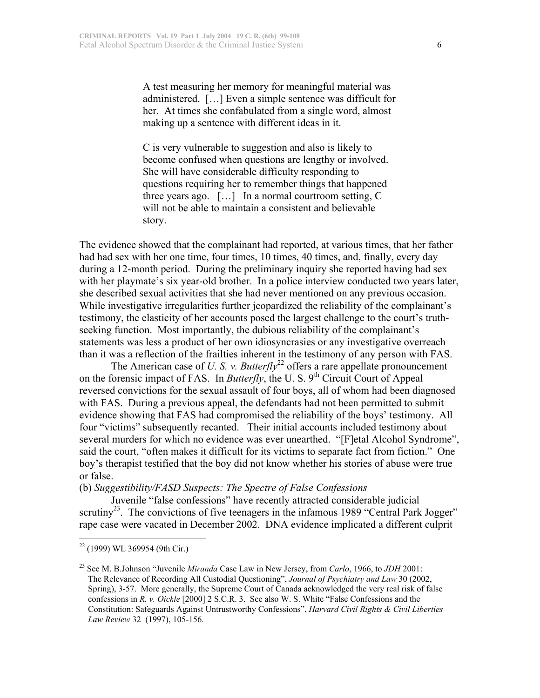A test measuring her memory for meaningful material was administered. […] Even a simple sentence was difficult for her. At times she confabulated from a single word, almost making up a sentence with different ideas in it.

C is very vulnerable to suggestion and also is likely to become confused when questions are lengthy or involved. She will have considerable difficulty responding to questions requiring her to remember things that happened three years ago. […] In a normal courtroom setting, C will not be able to maintain a consistent and believable story.

The evidence showed that the complainant had reported, at various times, that her father had had sex with her one time, four times, 10 times, 40 times, and, finally, every day during a 12-month period. During the preliminary inquiry she reported having had sex with her playmate's six year-old brother. In a police interview conducted two years later, she described sexual activities that she had never mentioned on any previous occasion. While investigative irregularities further jeopardized the reliability of the complainant's testimony, the elasticity of her accounts posed the largest challenge to the court's truthseeking function. Most importantly, the dubious reliability of the complainant's statements was less a product of her own idiosyncrasies or any investigative overreach than it was a reflection of the frailties inherent in the testimony of any person with FAS.

The American case of *U. S. v. Butterfly*<sup>22</sup> offers a rare appellate pronouncement on the forensic impact of FAS. In *Butterfly*, the U.S. 9<sup>th</sup> Circuit Court of Appeal reversed convictions for the sexual assault of four boys, all of whom had been diagnosed with FAS. During a previous appeal, the defendants had not been permitted to submit evidence showing that FAS had compromised the reliability of the boys' testimony. All four "victims" subsequently recanted. Their initial accounts included testimony about several murders for which no evidence was ever unearthed. "[F]etal Alcohol Syndrome", said the court, "often makes it difficult for its victims to separate fact from fiction." One boy's therapist testified that the boy did not know whether his stories of abuse were true or false.

(b) *Suggestibility/FASD Suspects: The Spectre of False Confessions*

Juvenile "false confessions" have recently attracted considerable judicial scrutiny<sup>23</sup>. The convictions of five teenagers in the infamous 1989 "Central Park Jogger" rape case were vacated in December 2002. DNA evidence implicated a different culprit

 <sup>22</sup> (1999) WL 369954 (9th Cir.)

<sup>23</sup> See M. B.Johnson "Juvenile *Miranda* Case Law in New Jersey, from *Carlo*, 1966, to *JDH* 2001: The Relevance of Recording All Custodial Questioning", *Journal of Psychiatry and Law* 30 (2002, Spring), 3-57. More generally, the Supreme Court of Canada acknowledged the very real risk of false confessions in *R. v. Oickle* [2000] 2 S.C.R. 3. See also W. S. White "False Confessions and the Constitution: Safeguards Against Untrustworthy Confessions", *Harvard Civil Rights & Civil Liberties Law Review* 32 (1997), 105-156.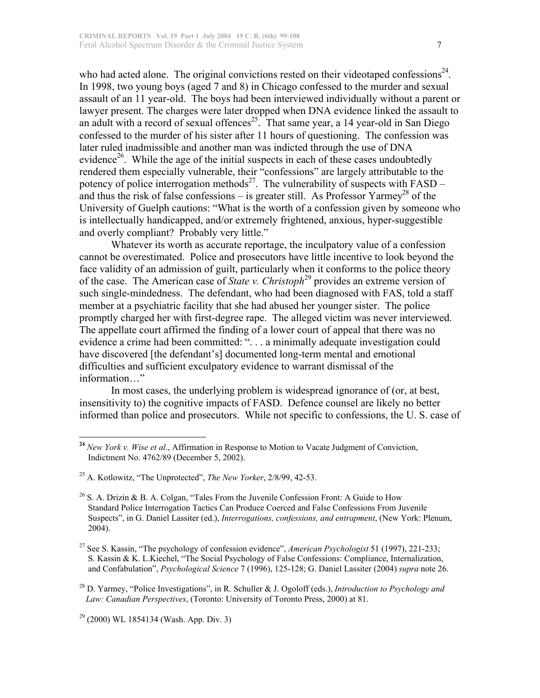who had acted alone. The original convictions rested on their videotaped confessions<sup>24</sup>. In 1998, two young boys (aged 7 and 8) in Chicago confessed to the murder and sexual assault of an 11 year-old. The boys had been interviewed individually without a parent or lawyer present. The charges were later dropped when DNA evidence linked the assault to an adult with a record of sexual offences<sup>25</sup>. That same year, a 14 year-old in San Diego confessed to the murder of his sister after 11 hours of questioning. The confession was later ruled inadmissible and another man was indicted through the use of DNA evidence<sup>26</sup>. While the age of the initial suspects in each of these cases undoubtedly rendered them especially vulnerable, their "confessions" are largely attributable to the potency of police interrogation methods<sup>27</sup>. The vulnerability of suspects with  $FASD$ and thus the risk of false confessions – is greater still. As Professor Yarmey<sup>28</sup> of the University of Guelph cautions: "What is the worth of a confession given by someone who is intellectually handicapped, and/or extremely frightened, anxious, hyper-suggestible and overly compliant? Probably very little."

Whatever its worth as accurate reportage, the inculpatory value of a confession cannot be overestimated. Police and prosecutors have little incentive to look beyond the face validity of an admission of guilt, particularly when it conforms to the police theory of the case. The American case of *State v. Christoph*<sup>29</sup> provides an extreme version of such single-mindedness. The defendant, who had been diagnosed with FAS, told a staff member at a psychiatric facility that she had abused her younger sister. The police promptly charged her with first-degree rape. The alleged victim was never interviewed. The appellate court affirmed the finding of a lower court of appeal that there was no evidence a crime had been committed: ". . . a minimally adequate investigation could have discovered [the defendant's] documented long-term mental and emotional difficulties and sufficient exculpatory evidence to warrant dismissal of the information…"

In most cases, the underlying problem is widespread ignorance of (or, at best, insensitivity to) the cognitive impacts of FASD. Defence counsel are likely no better informed than police and prosecutors. While not specific to confessions, the U. S. case of

- 27 See S. Kassin, "The psychology of confession evidence", *American Psychologist* 51 (1997), 221-233; S. Kassin & K. L.Kiechel, "The Social Psychology of False Confessions: Compliance, Internalization, and Confabulation", *Psychological Science* 7 (1996), 125-128; G. Daniel Lassiter (2004) *supra* note 26.
- 28 D. Yarmey, "Police Investigations", in R. Schuller & J. Ogoloff (eds.), *Introduction to Psychology and Law: Canadian Perspectives*, (Toronto: University of Toronto Press, 2000) at 81.

**<sup>24</sup>** *New York v. Wise et al*., Affirmation in Response to Motion to Vacate Judgment of Conviction, Indictment No. 4762/89 (December 5, 2002).

<sup>25</sup> A. Kotlowitz, "The Unprotected", *The New Yorker*, 2/8/99, 42-53.

 $26$  S. A. Drizin & B. A. Colgan, "Tales From the Juvenile Confession Front: A Guide to How Standard Police Interrogation Tactics Can Produce Coerced and False Confessions From Juvenile Suspects", in G. Daniel Lassiter (ed.), *Interrogations, confessions, and entrapment*, (New York: Plenum, 2004).

<sup>29</sup> (2000) WL 1854134 (Wash. App. Div. 3)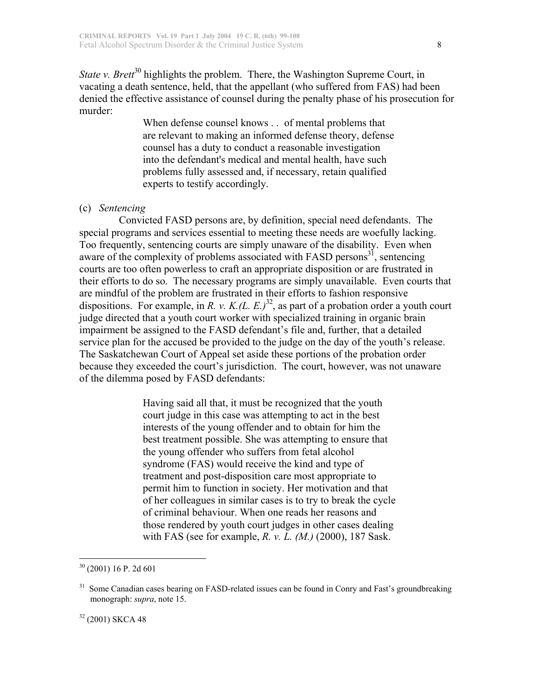*State v. Brett*<sup>30</sup> highlights the problem. There, the Washington Supreme Court, in vacating a death sentence, held, that the appellant (who suffered from FAS) had been denied the effective assistance of counsel during the penalty phase of his prosecution for murder:

When defense counsel knows . . of mental problems that are relevant to making an informed defense theory, defense counsel has a duty to conduct a reasonable investigation into the defendant's medical and mental health, have such problems fully assessed and, if necessary, retain qualified experts to testify accordingly.

## (c) *Sentencing*

 Convicted FASD persons are, by definition, special need defendants. The special programs and services essential to meeting these needs are woefully lacking. Too frequently, sentencing courts are simply unaware of the disability. Even when aware of the complexity of problems associated with FASD persons $^{31}$ , sentencing courts are too often powerless to craft an appropriate disposition or are frustrated in their efforts to do so. The necessary programs are simply unavailable. Even courts that are mindful of the problem are frustrated in their efforts to fashion responsive dispositions. For example, in *R. v. K.(L. E.)*<sup>32</sup>, as part of a probation order a youth court judge directed that a youth court worker with specialized training in organic brain impairment be assigned to the FASD defendant's file and, further, that a detailed service plan for the accused be provided to the judge on the day of the youth's release. The Saskatchewan Court of Appeal set aside these portions of the probation order because they exceeded the court's jurisdiction. The court, however, was not unaware of the dilemma posed by FASD defendants:

> Having said all that, it must be recognized that the youth court judge in this case was attempting to act in the best interests of the young offender and to obtain for him the best treatment possible. She was attempting to ensure that the young offender who suffers from fetal alcohol syndrome (FAS) would receive the kind and type of treatment and post-disposition care most appropriate to permit him to function in society. Her motivation and that of her colleagues in similar cases is to try to break the cycle of criminal behaviour. When one reads her reasons and those rendered by youth court judges in other cases dealing with FAS (see for example, *R. v. L. (M.)* (2000), 187 Sask.

<sup>32</sup> (2001) SKCA 48

 <sup>30</sup> (2001) 16 P. 2d 601

<sup>&</sup>lt;sup>31</sup> Some Canadian cases bearing on FASD-related issues can be found in Conry and Fast's groundbreaking monograph: *supra*, note 15.